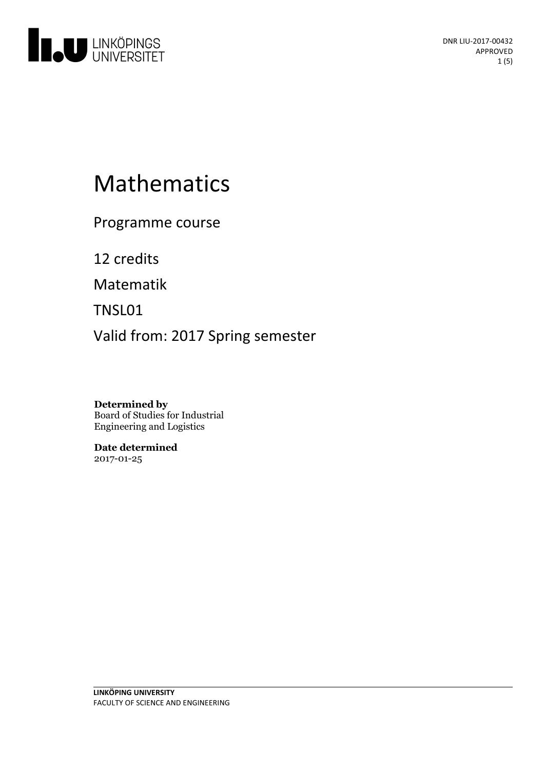

# Mathematics

Programme course

12 credits

Matematik

TNSL01

Valid from: 2017 Spring semester

**Determined by** Board of Studies for Industrial Engineering and Logistics

**Date determined** 2017-01-25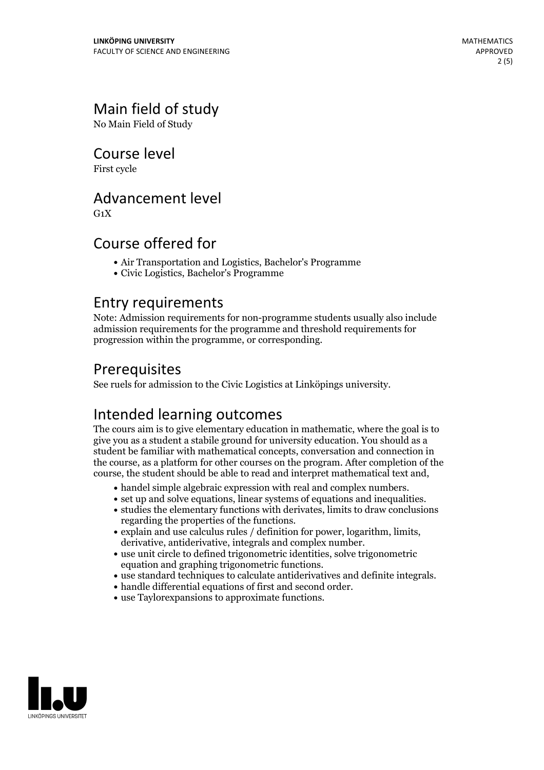# Main field of study

No Main Field of Study

## Course level

First cycle

## Advancement level

 $G_1X$ 

## Course offered for

- Air Transportation and Logistics, Bachelor's Programme
- Civic Logistics, Bachelor's Programme

#### Entry requirements

Note: Admission requirements for non-programme students usually also include admission requirements for the programme and threshold requirements for progression within the programme, or corresponding.

# Prerequisites

See ruels for admission to the Civic Logistics at Linköpings university.

# Intended learning outcomes

The cours aim is to give elementary education in mathematic, where the goal is to give you as a student a stabile ground for university education. You should as a student be familiar with mathematical concepts, conversation and connection in the course, as a platform for other courses on the program. After completion of the course, the student should be able to read and interpret mathematical text and,

- 
- $\bullet$  handel simple algebraic expression with real and complex numbers.  $\bullet$  set up and solve equations, linear systems of equations and inequalities.  $\bullet$  studies the elementary functions with derivates, limits to draw co
- 
- regarding the properties of the functions.<br>
explain and use calculus rules / definition for power, logarithm, limits, derivative, antiderivative, integrals and complex number.<br>
use unit circle to defined trigonometric
- 
- <ul>\n<li>use standard techniques to calculate antiderivatives and definite integrals.</li>\n<li>handle differential equations of first and second order.</li>\n<li>use Taylor expansions to approximate functions.</li>\n</ul>
- 
- 

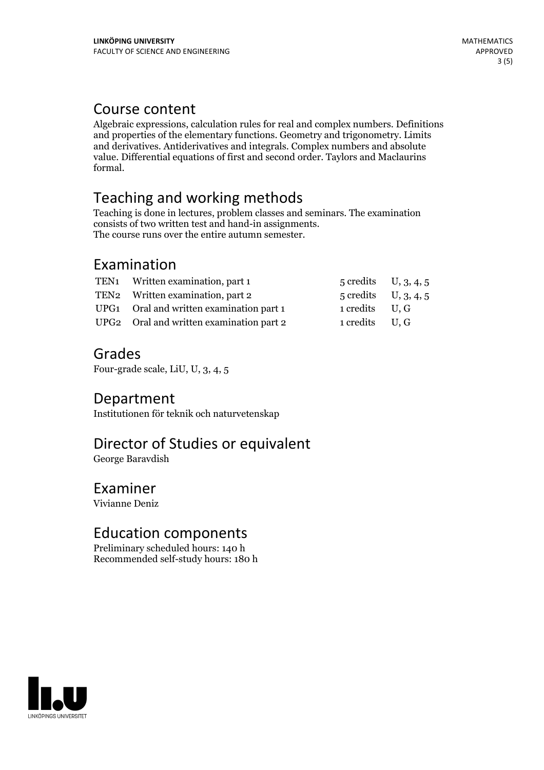# Course content

Algebraic expressions, calculation rules for real and complex numbers. Definitions and properties of the elementary functions. Geometry and trigonometry. Limits and derivatives. Antiderivatives and integrals. Complex numbers and absolute value. Differential equations of first and second order. Taylors and Maclaurins formal.

# Teaching and working methods

Teaching is done in lectures, problem classesand seminars. The examination consists of two written test and hand-in assignments. The course runs over the entire autumn semester.

# Examination

| TEN1 Written examination, part 1         | $5 \text{ credits}$ U, $3, 4, 5$ |  |
|------------------------------------------|----------------------------------|--|
| TEN2 Written examination, part 2         | $5 \text{ credits}$ U, $3, 4, 5$ |  |
| UPG1 Oral and written examination part 1 | 1 credits U, G                   |  |
| UPG2 Oral and written examination part 2 | 1 credits U, G                   |  |

## Grades

Four-grade scale, LiU, U, 3, 4, 5

#### Department

Institutionen för teknik och naturvetenskap

# Director of Studies or equivalent

George Baravdish

#### Examiner

Vivianne Deniz

# Education components

Preliminary scheduled hours: 140 h Recommended self-study hours: 180 h

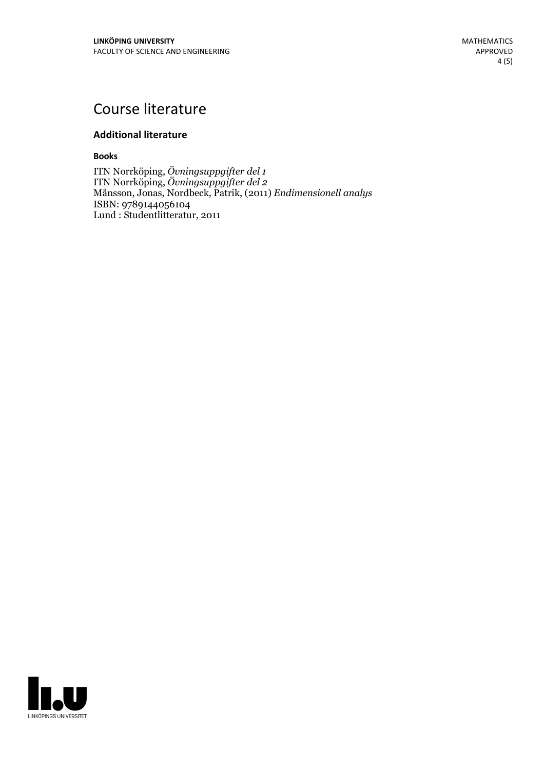# Course literature

#### **Additional literature**

**Books**

ITN Norrköping, *Övningsuppgifter del 1* ITN Norrköping, *Övningsuppgifter del 2* Månsson, Jonas, Nordbeck, Patrik, (2011) *Endimensionell analys* ISBN: 9789144056104 Lund : Studentlitteratur, 2011